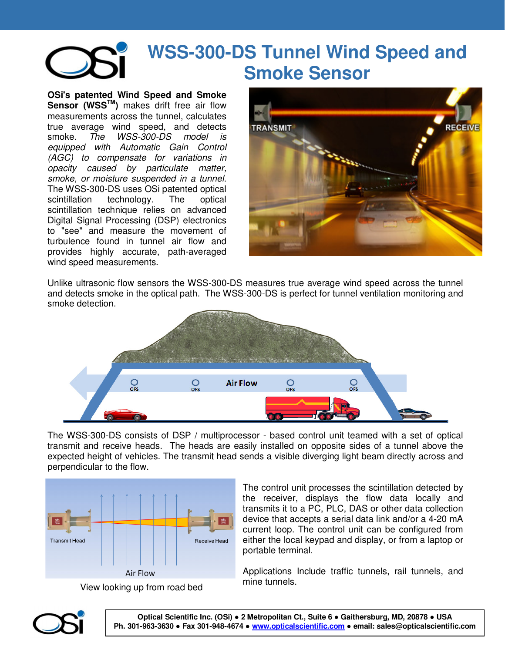

## **WSS-300-DS Tunnel Wind Speed and Smoke Sensor**

**OSi's patented Wind Speed and Smoke Sensor (WSSTM)** makes drift free air flow measurements across the tunnel, calculates true average wind speed, and detects smoke. The WSS-300-DS model is equipped with Automatic Gain Control (AGC) to compensate for variations in opacity caused by particulate matter, smoke, or moisture suspended in a tunnel. The WSS-300-DS uses OSi patented optical scintillation technology. The optical scintillation technique relies on advanced Digital Signal Processing (DSP) electronics to "see" and measure the movement of turbulence found in tunnel air flow and provides highly accurate, path-averaged wind speed measurements.



Unlike ultrasonic flow sensors the WSS-300-DS measures true average wind speed across the tunnel and detects smoke in the optical path. The WSS-300-DS is perfect for tunnel ventilation monitoring and smoke detection.



The WSS-300-DS consists of DSP / multiprocessor - based control unit teamed with a set of optical transmit and receive heads. The heads are easily installed on opposite sides of a tunnel above the expected height of vehicles. The transmit head sends a visible diverging light beam directly across and perpendicular to the flow.



View looking up from road bed

The control unit processes the scintillation detected by the receiver, displays the flow data locally and transmits it to a PC, PLC, DAS or other data collection device that accepts a serial data link and/or a 4-20 mA current loop. The control unit can be configured from either the local keypad and display, or from a laptop or portable terminal.

Applications Include traffic tunnels, rail tunnels, and mine tunnels.



**Optical Scientific Inc. (OSi)** ● **2 Metropolitan Ct., Suite 6** ● **Gaithersburg, MD, 20878** ● **USA Ph. 301-963-3630** ● **Fax 301-948-4674** ● **www.opticalscientific.com** ● **email: sales@opticalscientific.com**